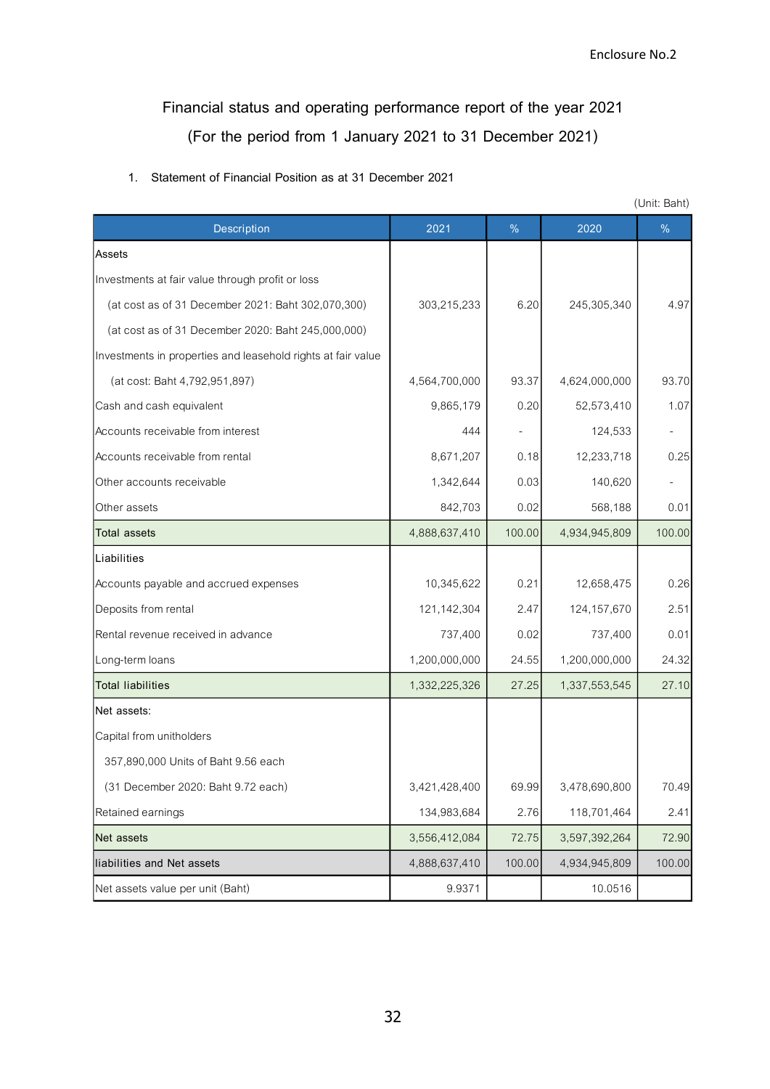## **Financial status and operating performance report of the year 2021 (For the period from 1 January 2021 to 31 December 2021)**

|  | 1. Statement of Financial Position as at 31 December 2021 |  |  |
|--|-----------------------------------------------------------|--|--|
|  |                                                           |  |  |

|                                                              |               |        |               | (Unit: Baht) |
|--------------------------------------------------------------|---------------|--------|---------------|--------------|
| Description                                                  | 2021          | $\%$   | 2020          | %            |
| Assets                                                       |               |        |               |              |
| Investments at fair value through profit or loss             |               |        |               |              |
| (at cost as of 31 December 2021: Baht 302,070,300)           | 303,215,233   | 6.20   | 245,305,340   | 4.97         |
| (at cost as of 31 December 2020: Baht 245,000,000)           |               |        |               |              |
| Investments in properties and leasehold rights at fair value |               |        |               |              |
| (at cost: Baht 4,792,951,897)                                | 4,564,700,000 | 93.37  | 4,624,000,000 | 93.70        |
| Cash and cash equivalent                                     | 9,865,179     | 0.20   | 52,573,410    | 1.07         |
| Accounts receivable from interest                            | 444           |        | 124,533       |              |
| Accounts receivable from rental                              | 8,671,207     | 0.18   | 12,233,718    | 0.25         |
| Other accounts receivable                                    | 1,342,644     | 0.03   | 140,620       |              |
| Other assets                                                 | 842,703       | 0.02   | 568,188       | 0.01         |
| <b>Total assets</b>                                          | 4,888,637,410 | 100.00 | 4,934,945,809 | 100.00       |
| Liabilities                                                  |               |        |               |              |
| Accounts payable and accrued expenses                        | 10,345,622    | 0.21   | 12,658,475    | 0.26         |
| Deposits from rental                                         | 121,142,304   | 2.47   | 124, 157, 670 | 2.51         |
| Rental revenue received in advance                           | 737,400       | 0.02   | 737,400       | 0.01         |
| Long-term loans                                              | 1,200,000,000 | 24.55  | 1,200,000,000 | 24.32        |
| <b>Total liabilities</b>                                     | 1,332,225,326 | 27.25  | 1,337,553,545 | 27.10        |
| Net assets:                                                  |               |        |               |              |
| Capital from unitholders                                     |               |        |               |              |
| 357,890,000 Units of Baht 9.56 each                          |               |        |               |              |
| (31 December 2020: Baht 9.72 each)                           | 3,421,428,400 | 69.99  | 3,478,690,800 | 70.49        |
| Retained earnings                                            | 134,983,684   | 2.76   | 118,701,464   | 2.41         |
| Net assets                                                   | 3,556,412,084 | 72.75  | 3,597,392,264 | 72.90        |
| liabilities and Net assets                                   | 4,888,637,410 | 100.00 | 4,934,945,809 | 100.00       |
| Net assets value per unit (Baht)                             | 9.9371        |        | 10.0516       |              |